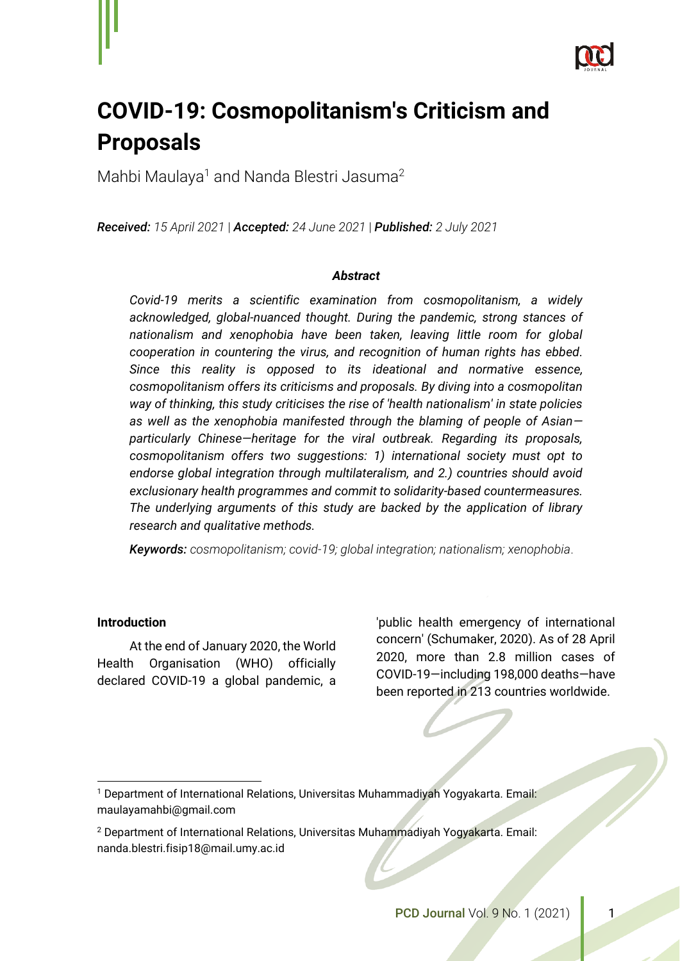

# **COVID-19: Cosmopolitanism's Criticism and Proposals**

Mahbi Maulaya<sup>1</sup> and Nanda Blestri Jasuma<sup>2</sup>

*Received: 15 April 2021* | *Accepted: 24 June 2021* | *Published: 2 July 2021* 

#### *Abstract*

*Covid-19 merits a scientific examination from cosmopolitanism, a widely acknowledged, global-nuanced thought. During the pandemic, strong stances of nationalism and xenophobia have been taken, leaving little room for global cooperation in countering the virus, and recognition of human rights has ebbed. Since this reality is opposed to its ideational and normative essence, cosmopolitanism offers its criticisms and proposals. By diving into a cosmopolitan way of thinking, this study criticises the rise of 'health nationalism' in state policies as well as the xenophobia manifested through the blaming of people of Asian particularly Chinese—heritage for the viral outbreak. Regarding its proposals, cosmopolitanism offers two suggestions: 1) international society must opt to endorse global integration through multilateralism, and 2.) countries should avoid exclusionary health programmes and commit to solidarity-based countermeasures. The underlying arguments of this study are backed by the application of library research and qualitative methods.*

*Keywords: cosmopolitanism; covid-19; global integration; nationalism; xenophobia*.

#### **Introduction**

At the end of January 2020, the World Health Organisation (WHO) officially declared COVID-19 a global pandemic, a

'public health emergency of international concern' (Schumaker, 2020). As of 28 April 2020, more than 2.8 million cases of COVID-19—including 198,000 deaths—have been reported in 213 countries worldwide.

<sup>1</sup> Department of International Relations, Universitas Muhammadiyah Yogyakarta. Email: maulayamahbi@gmail.com

<sup>2</sup> Department of International Relations, Universitas Muhammadiyah Yogyakarta. Email: nanda.blestri.fisip18@mail.umy.ac.id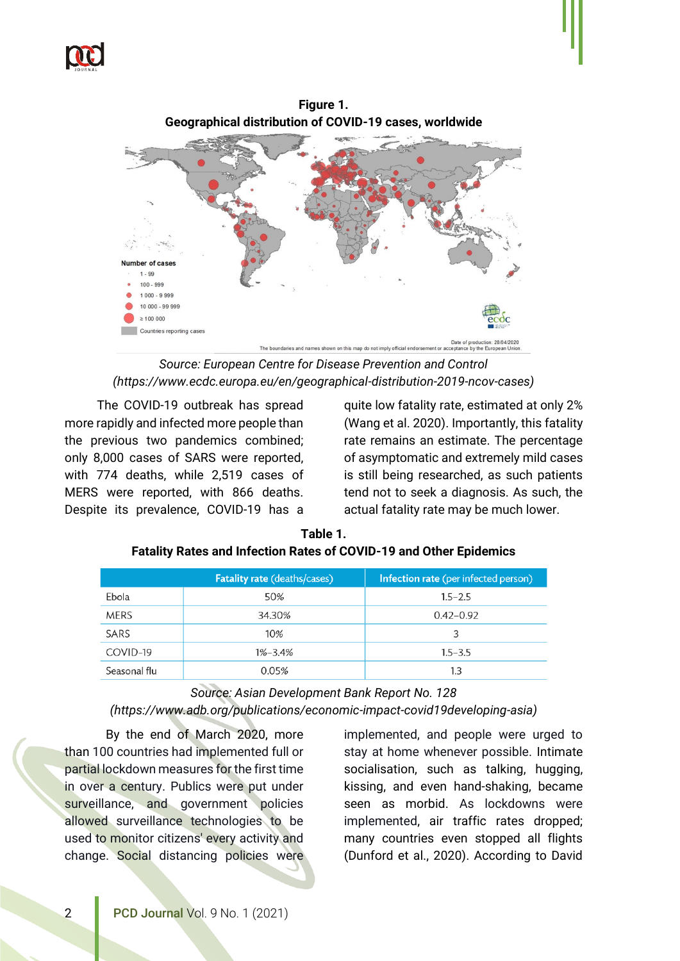



*Source: European Centre for Disease Prevention and Control (https://www.ecdc.europa.eu/en/geographical-distribution-2019-ncov-cases)*

The COVID-19 outbreak has spread more rapidly and infected more people than the previous two pandemics combined; only 8,000 cases of SARS were reported, with 774 deaths, while 2,519 cases of MERS were reported, with 866 deaths. Despite its prevalence, COVID-19 has a quite low fatality rate, estimated at only 2% (Wang et al. 2020). Importantly, this fatality rate remains an estimate. The percentage of asymptomatic and extremely mild cases is still being researched, as such patients tend not to seek a diagnosis. As such, the actual fatality rate may be much lower.

|              | <b>Fatality rate (deaths/cases)</b> | Infection rate (per infected person) |
|--------------|-------------------------------------|--------------------------------------|
| Ebola        | 50%                                 | $1.5 - 2.5$                          |
| <b>MERS</b>  | 34.30%                              | $0.42 - 0.92$                        |
| SARS         | 10%                                 | 3                                    |
| COVID-19     | $1\% - 3.4\%$                       | $1.5 - 3.5$                          |
| Seasonal flu | 0.05%                               | $1.3\,$                              |

**Table 1. Fatality Rates and Infection Rates of COVID-19 and Other Epidemics**

*Source: Asian Development Bank Report No. 128 (https://www.adb.org/publications/economic-impact-covid19developing-asia)*

By the end of March 2020, more than 100 countries had implemented full or partial lockdown measures for the first time in over a century. Publics were put under surveillance, and government policies allowed surveillance technologies to be used to monitor citizens' every activity and change. Social distancing policies were

implemented, and people were urged to stay at home whenever possible. Intimate socialisation, such as talking, hugging, kissing, and even hand-shaking, became seen as morbid. As lockdowns were implemented, air traffic rates dropped; many countries even stopped all flights (Dunford et al., 2020). According to David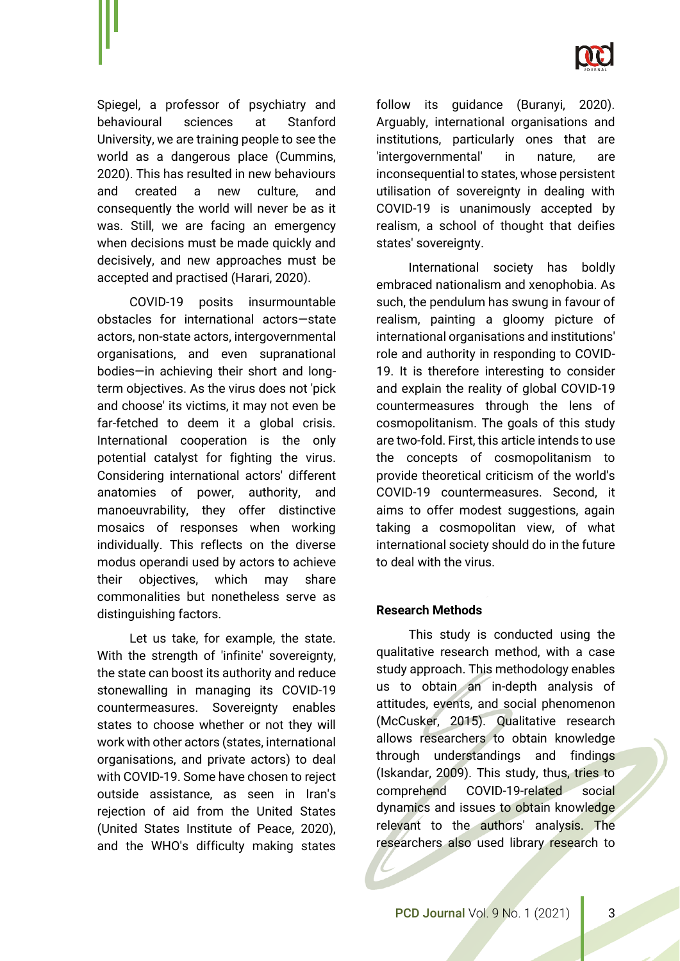

Spiegel, a professor of psychiatry and behavioural sciences at Stanford University, we are training people to see the world as a dangerous place (Cummins, 2020). This has resulted in new behaviours and created a new culture, and consequently the world will never be as it was. Still, we are facing an emergency when decisions must be made quickly and decisively, and new approaches must be accepted and practised (Harari, 2020).

COVID-19 posits insurmountable obstacles for international actors—state actors, non-state actors, intergovernmental organisations, and even supranational bodies—in achieving their short and longterm objectives. As the virus does not 'pick and choose' its victims, it may not even be far-fetched to deem it a global crisis. International cooperation is the only potential catalyst for fighting the virus. Considering international actors' different anatomies of power, authority, and manoeuvrability, they offer distinctive mosaics of responses when working individually. This reflects on the diverse modus operandi used by actors to achieve their objectives, which may share commonalities but nonetheless serve as distinguishing factors.

Let us take, for example, the state. With the strength of 'infinite' sovereignty, the state can boost its authority and reduce stonewalling in managing its COVID-19 countermeasures. Sovereignty enables states to choose whether or not they will work with other actors (states, international organisations, and private actors) to deal with COVID-19. Some have chosen to reject outside assistance, as seen in Iran's rejection of aid from the United States (United States Institute of Peace, 2020), and the WHO's difficulty making states

follow its guidance (Buranyi, 2020). Arguably, international organisations and institutions, particularly ones that are 'intergovernmental' in nature, are inconsequential to states, whose persistent utilisation of sovereignty in dealing with COVID-19 is unanimously accepted by realism, a school of thought that deifies states' sovereignty.

International society has boldly embraced nationalism and xenophobia. As such, the pendulum has swung in favour of realism, painting a gloomy picture of international organisations and institutions' role and authority in responding to COVID-19. It is therefore interesting to consider and explain the reality of global COVID-19 countermeasures through the lens of cosmopolitanism. The goals of this study are two-fold. First, this article intends to use the concepts of cosmopolitanism to provide theoretical criticism of the world's COVID-19 countermeasures. Second, it aims to offer modest suggestions, again taking a cosmopolitan view, of what international society should do in the future to deal with the virus.

#### **Research Methods**

This study is conducted using the qualitative research method, with a case study approach. This methodology enables us to obtain an in-depth analysis of attitudes, events, and social phenomenon (McCusker, 2015). Qualitative research allows researchers to obtain knowledge through understandings and findings (Iskandar, 2009). This study, thus, tries to comprehend COVID-19-related social dynamics and issues to obtain knowledge relevant to the authors' analysis. The researchers also used library research to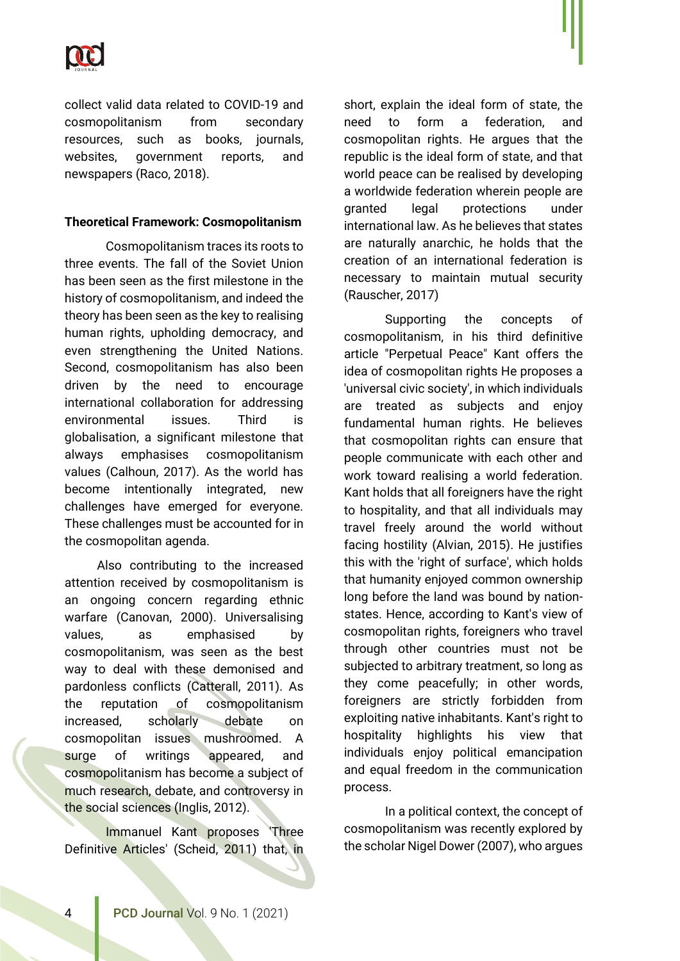

collect valid data related to COVID-19 and cosmopolitanism from secondary resources, such as books, journals, websites, government reports, and newspapers (Raco, 2018).

#### **Theoretical Framework: Cosmopolitanism**

Cosmopolitanism traces its roots to three events. The fall of the Soviet Union has been seen as the first milestone in the history of cosmopolitanism, and indeed the theory has been seen as the key to realising human rights, upholding democracy, and even strengthening the United Nations. Second, cosmopolitanism has also been driven by the need to encourage international collaboration for addressing environmental issues. Third is globalisation, a significant milestone that always emphasises cosmopolitanism values (Calhoun, 2017). As the world has become intentionally integrated, new challenges have emerged for everyone. These challenges must be accounted for in the cosmopolitan agenda.

Also contributing to the increased attention received by cosmopolitanism is an ongoing concern regarding ethnic warfare (Canovan, 2000). Universalising values, as emphasised by cosmopolitanism, was seen as the best way to deal with these demonised and pardonless conflicts (Catterall, 2011). As the reputation of cosmopolitanism increased, scholarly debate on cosmopolitan issues mushroomed. A surge of writings appeared, and cosmopolitanism has become a subject of much research, debate, and controversy in the social sciences (Inglis, 2012).

Immanuel Kant proposes 'Three Definitive Articles' (Scheid, 2011) that, in short, explain the ideal form of state, the need to form a federation, and cosmopolitan rights. He argues that the republic is the ideal form of state, and that world peace can be realised by developing a worldwide federation wherein people are granted legal protections under international law. As he believes that states are naturally anarchic, he holds that the creation of an international federation is necessary to maintain mutual security (Rauscher, 2017)

Supporting the concepts of cosmopolitanism, in his third definitive article "Perpetual Peace" Kant offers the idea of cosmopolitan rights He proposes a 'universal civic society', in which individuals are treated as subjects and enjoy fundamental human rights. He believes that cosmopolitan rights can ensure that people communicate with each other and work toward realising a world federation. Kant holds that all foreigners have the right to hospitality, and that all individuals may travel freely around the world without facing hostility (Alvian, 2015). He justifies this with the 'right of surface', which holds that humanity enjoyed common ownership long before the land was bound by nationstates. Hence, according to Kant's view of cosmopolitan rights, foreigners who travel through other countries must not be subjected to arbitrary treatment, so long as they come peacefully; in other words, foreigners are strictly forbidden from exploiting native inhabitants. Kant's right to hospitality highlights his view that individuals enjoy political emancipation and equal freedom in the communication process.

In a political context, the concept of cosmopolitanism was recently explored by the scholar Nigel Dower (2007), who argues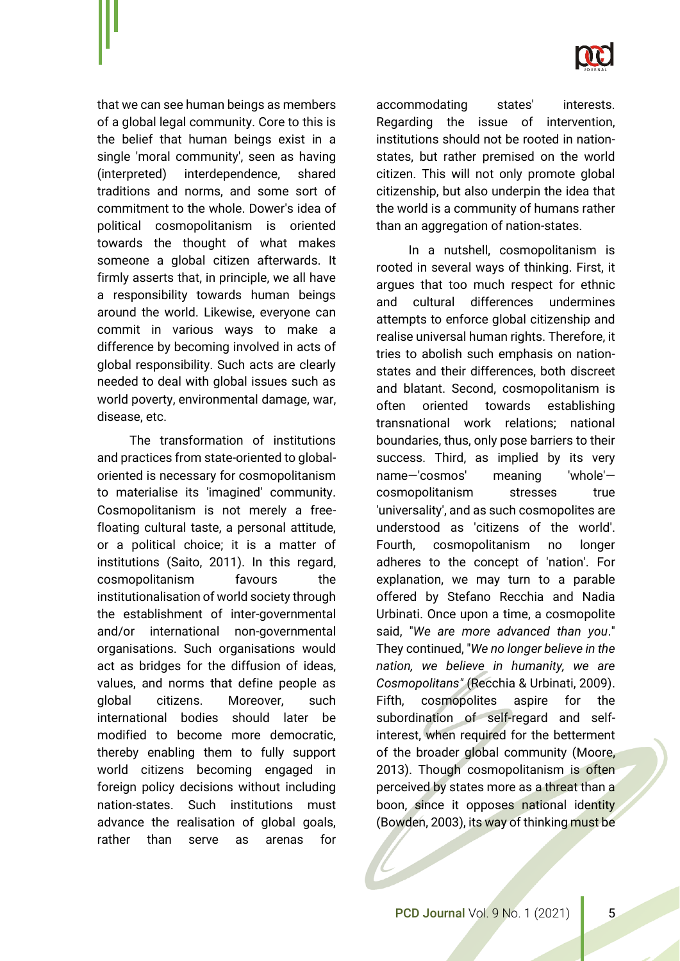

that we can see human beings as members of a global legal community. Core to this is the belief that human beings exist in a single 'moral community', seen as having (interpreted) interdependence, shared traditions and norms, and some sort of commitment to the whole. Dower's idea of political cosmopolitanism is oriented towards the thought of what makes someone a global citizen afterwards. It firmly asserts that, in principle, we all have a responsibility towards human beings around the world. Likewise, everyone can commit in various ways to make a difference by becoming involved in acts of global responsibility. Such acts are clearly needed to deal with global issues such as world poverty, environmental damage, war, disease, etc.

The transformation of institutions and practices from state-oriented to globaloriented is necessary for cosmopolitanism to materialise its 'imagined' community. Cosmopolitanism is not merely a freefloating cultural taste, a personal attitude, or a political choice; it is a matter of institutions (Saito, 2011). In this regard, cosmopolitanism favours the institutionalisation of world society through the establishment of inter-governmental and/or international non-governmental organisations. Such organisations would act as bridges for the diffusion of ideas, values, and norms that define people as global citizens. Moreover, such international bodies should later be modified to become more democratic, thereby enabling them to fully support world citizens becoming engaged in foreign policy decisions without including nation-states. Such institutions must advance the realisation of global goals, rather than serve as arenas for

accommodating states' interests. Regarding the issue of intervention, institutions should not be rooted in nationstates, but rather premised on the world citizen. This will not only promote global citizenship, but also underpin the idea that the world is a community of humans rather than an aggregation of nation-states.

In a nutshell, cosmopolitanism is rooted in several ways of thinking. First, it argues that too much respect for ethnic and cultural differences undermines attempts to enforce global citizenship and realise universal human rights. Therefore, it tries to abolish such emphasis on nationstates and their differences, both discreet and blatant. Second, cosmopolitanism is often oriented towards establishing transnational work relations; national boundaries, thus, only pose barriers to their success. Third, as implied by its very name—'cosmos' meaning 'whole' cosmopolitanism stresses true 'universality', and as such cosmopolites are understood as 'citizens of the world'. Fourth, cosmopolitanism no longer adheres to the concept of 'nation'. For explanation, we may turn to a parable offered by Stefano Recchia and Nadia Urbinati. Once upon a time, a cosmopolite said, "*We are more advanced than you*." They continued, "*We no longer believe in the nation, we believe in humanity, we are Cosmopolitans"* (Recchia & Urbinati, 2009). Fifth, cosmopolites aspire for the subordination of self-regard and selfinterest, when required for the betterment of the broader global community (Moore, 2013). Though cosmopolitanism is often perceived by states more as a threat than a boon, since it opposes national identity (Bowden, 2003), its way of thinking must be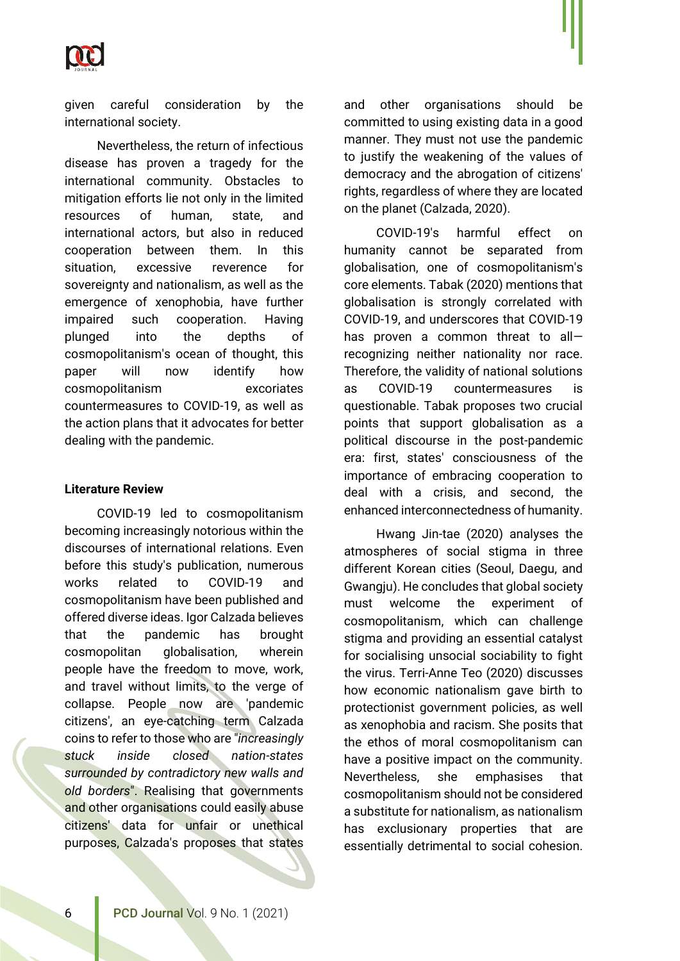

given careful consideration by the international society.

Nevertheless, the return of infectious disease has proven a tragedy for the international community. Obstacles to mitigation efforts lie not only in the limited resources of human, state, and international actors, but also in reduced cooperation between them. In this situation, excessive reverence for sovereignty and nationalism, as well as the emergence of xenophobia, have further impaired such cooperation. Having plunged into the depths of cosmopolitanism's ocean of thought, this paper will now identify how cosmopolitanism excoriates countermeasures to COVID-19, as well as the action plans that it advocates for better dealing with the pandemic.

#### **Literature Review**

COVID-19 led to cosmopolitanism becoming increasingly notorious within the discourses of international relations. Even before this study's publication, numerous works related to COVID-19 and cosmopolitanism have been published and offered diverse ideas. Igor Calzada believes that the pandemic has brought cosmopolitan globalisation, wherein people have the freedom to move, work, and travel without limits, to the verge of collapse. People now are 'pandemic citizens', an eye-catching term Calzada coins to refer to those who are "*increasingly stuck inside closed nation-states surrounded by contradictory new walls and old borders*". Realising that governments and other organisations could easily abuse citizens' data for unfair or unethical purposes, Calzada's proposes that states

and other organisations should be committed to using existing data in a good manner. They must not use the pandemic to justify the weakening of the values of democracy and the abrogation of citizens' rights, regardless of where they are located on the planet (Calzada, 2020).

COVID-19's harmful effect on humanity cannot be separated from globalisation, one of cosmopolitanism's core elements. Tabak (2020) mentions that globalisation is strongly correlated with COVID-19, and underscores that COVID-19 has proven a common threat to all recognizing neither nationality nor race. Therefore, the validity of national solutions as COVID-19 countermeasures is questionable. Tabak proposes two crucial points that support globalisation as a political discourse in the post-pandemic era: first, states' consciousness of the importance of embracing cooperation to deal with a crisis, and second, the enhanced interconnectedness of humanity.

Hwang Jin-tae (2020) analyses the atmospheres of social stigma in three different Korean cities (Seoul, Daegu, and Gwangju). He concludes that global society must welcome the experiment of cosmopolitanism, which can challenge stigma and providing an essential catalyst for socialising unsocial sociability to fight the virus. Terri-Anne Teo (2020) discusses how economic nationalism gave birth to protectionist government policies, as well as xenophobia and racism. She posits that the ethos of moral cosmopolitanism can have a positive impact on the community. Nevertheless, she emphasises that cosmopolitanism should not be considered a substitute for nationalism, as nationalism has exclusionary properties that are essentially detrimental to social cohesion.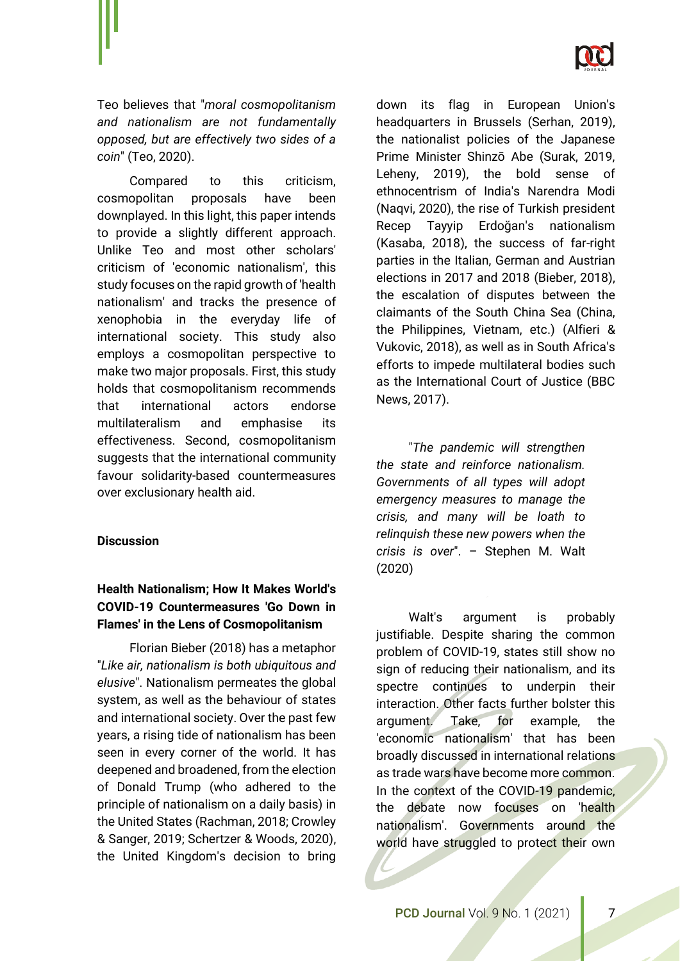

Teo believes that "*moral cosmopolitanism and nationalism are not fundamentally opposed, but are effectively two sides of a coin*" (Teo, 2020).

Compared to this criticism, cosmopolitan proposals have been downplayed. In this light, this paper intends to provide a slightly different approach. Unlike Teo and most other scholars' criticism of 'economic nationalism', this study focuses on the rapid growth of 'health nationalism' and tracks the presence of xenophobia in the everyday life of international society. This study also employs a cosmopolitan perspective to make two major proposals. First, this study holds that cosmopolitanism recommends that international actors endorse multilateralism and emphasise its effectiveness. Second, cosmopolitanism suggests that the international community favour solidarity-based countermeasures over exclusionary health aid.

#### **Discussion**

## **Health Nationalism; How It Makes World's COVID-19 Countermeasures 'Go Down in Flames' in the Lens of Cosmopolitanism**

Florian Bieber (2018) has a metaphor "*Like air, nationalism is both ubiquitous and elusive*". Nationalism permeates the global system, as well as the behaviour of states and international society. Over the past few years, a rising tide of nationalism has been seen in every corner of the world. It has deepened and broadened, from the election of Donald Trump (who adhered to the principle of nationalism on a daily basis) in the United States (Rachman, 2018; Crowley & Sanger, 2019; Schertzer & Woods, 2020), the United Kingdom's decision to bring

down its flag in European Union's headquarters in Brussels (Serhan, 2019), the nationalist policies of the Japanese Prime Minister Shinzō Abe (Surak, 2019, Leheny, 2019), the bold sense of ethnocentrism of India's Narendra Modi (Naqvi, 2020), the rise of Turkish president Recep Tayyip Erdoğan's nationalism (Kasaba, 2018), the success of far-right parties in the Italian, German and Austrian elections in 2017 and 2018 (Bieber, 2018), the escalation of disputes between the claimants of the South China Sea (China, the Philippines, Vietnam, etc.) (Alfieri & Vukovic, 2018), as well as in South Africa's efforts to impede multilateral bodies such as the International Court of Justice (BBC News, 2017).

"*The pandemic will strengthen the state and reinforce nationalism. Governments of all types will adopt emergency measures to manage the crisis, and many will be loath to relinquish these new powers when the crisis is over*". – Stephen M. Walt (2020)

Walt's argument is probably justifiable. Despite sharing the common problem of COVID-19, states still show no sign of reducing their nationalism, and its spectre continues to underpin their interaction. Other facts further bolster this argument. Take, for example, the 'economic nationalism' that has been broadly discussed in international relations as trade wars have become more common. In the context of the COVID-19 pandemic, the debate now focuses on 'health nationalism'. Governments around the world have struggled to protect their own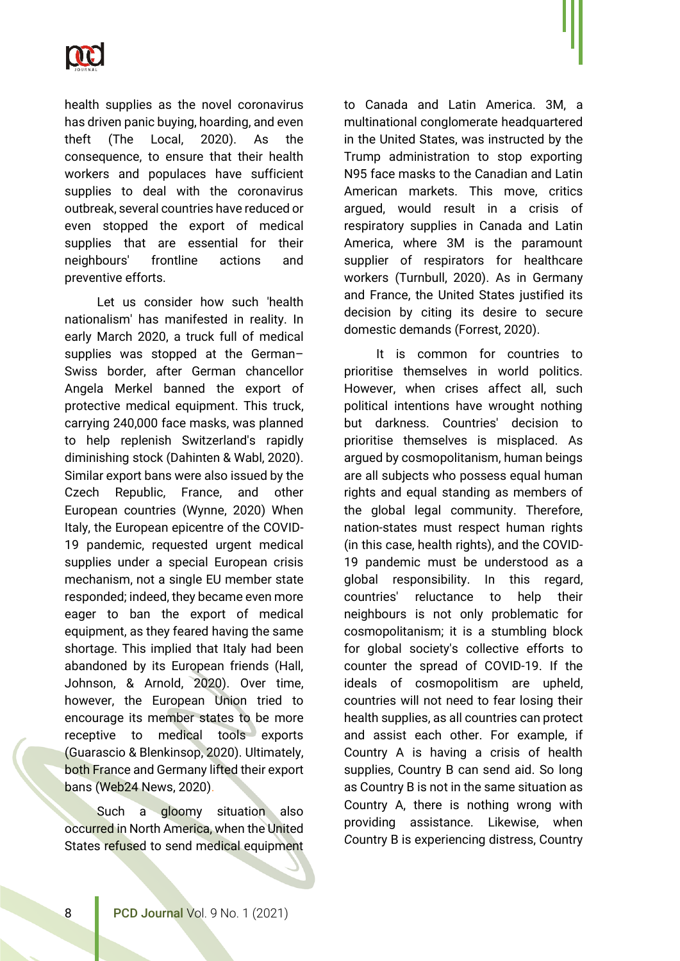

health supplies as the novel coronavirus has driven panic buying, hoarding, and even theft (The Local, 2020). As the consequence, to ensure that their health workers and populaces have sufficient supplies to deal with the coronavirus outbreak, several countries have reduced or even stopped the export of medical supplies that are essential for their neighbours' frontline actions and preventive efforts.

Let us consider how such 'health nationalism' has manifested in reality. In early March 2020, a truck full of medical supplies was stopped at the German– Swiss border, after German chancellor Angela Merkel banned the export of protective medical equipment. This truck, carrying 240,000 face masks, was planned to help replenish Switzerland's rapidly diminishing stock (Dahinten & Wabl, 2020). Similar export bans were also issued by the Czech Republic, France, and other European countries (Wynne, 2020) When Italy, the European epicentre of the COVID-19 pandemic, requested urgent medical supplies under a special European crisis mechanism, not a single EU member state responded; indeed, they became even more eager to ban the export of medical equipment, as they feared having the same shortage. This implied that Italy had been abandoned by its European friends (Hall, Johnson, & Arnold, 2020). Over time, however, the European Union tried to encourage its member states to be more receptive to medical tools exports (Guarascio & Blenkinsop, 2020). Ultimately, both France and Germany lifted their export bans (Web24 News, 2020).

Such a gloomy situation also occurred in North America, when the United States refused to send medical equipment to Canada and Latin America. 3M, a multinational conglomerate headquartered in the United States, was instructed by the Trump administration to stop exporting N95 face masks to the Canadian and Latin American markets. This move, critics argued, would result in a crisis of respiratory supplies in Canada and Latin America, where 3M is the paramount supplier of respirators for healthcare workers (Turnbull, 2020). As in Germany and France, the United States justified its decision by citing its desire to secure domestic demands (Forrest, 2020).

It is common for countries to prioritise themselves in world politics. However, when crises affect all, such political intentions have wrought nothing but darkness. Countries' decision to prioritise themselves is misplaced. As argued by cosmopolitanism, human beings are all subjects who possess equal human rights and equal standing as members of the global legal community. Therefore, nation-states must respect human rights (in this case, health rights), and the COVID-19 pandemic must be understood as a global responsibility. In this regard, countries' reluctance to help their neighbours is not only problematic for cosmopolitanism; it is a stumbling block for global society's collective efforts to counter the spread of COVID-19. If the ideals of cosmopolitism are upheld, countries will not need to fear losing their health supplies, as all countries can protect and assist each other. For example, if Country A is having a crisis of health supplies, Country B can send aid. So long as Country B is not in the same situation as Country A, there is nothing wrong with providing assistance. Likewise, when *C*ountry B is experiencing distress, Country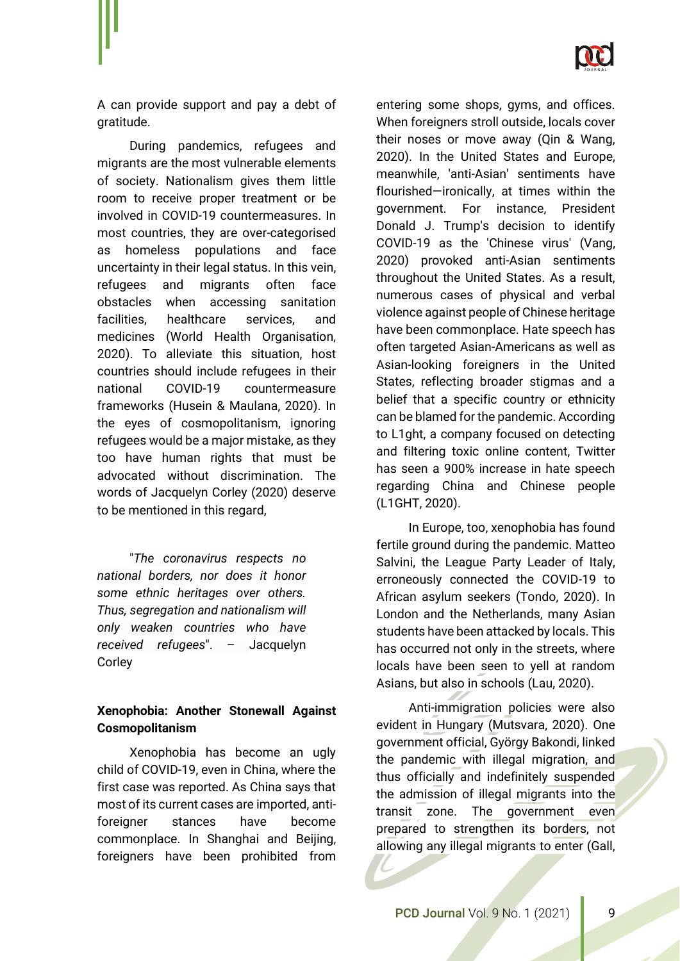

A can provide support and pay a debt of gratitude.

During pandemics, refugees and migrants are the most vulnerable elements of society. Nationalism gives them little room to receive proper treatment or be involved in COVID-19 countermeasures. In most countries, they are over-categorised as homeless populations and face uncertainty in their legal status. In this vein, refugees and migrants often face obstacles when accessing sanitation facilities, healthcare services, and medicines (World Health Organisation, 2020). To alleviate this situation, host countries should include refugees in their national COVID-19 countermeasure frameworks (Husein & Maulana, 2020). In the eyes of cosmopolitanism, ignoring refugees would be a major mistake, as they too have human rights that must be advocated without discrimination. The words of Jacquelyn Corley (2020) deserve to be mentioned in this regard,

"*The coronavirus respects no national borders, nor does it honor some ethnic heritages over others. Thus, segregation and nationalism will only weaken countries who have received refugees*". – Jacquelyn Corley

## **Xenophobia: Another Stonewall Against Cosmopolitanism**

Xenophobia has become an ugly child of COVID-19, even in China, where the first case was reported. As China says that most of its current cases are imported, antiforeigner stances have become commonplace. In Shanghai and Beijing, foreigners have been prohibited from entering some shops, gyms, and offices. When foreigners stroll outside, locals cover their noses or move away (Qin & Wang, 2020). In the United States and Europe, meanwhile, 'anti-Asian' sentiments have flourished—ironically, at times within the government. For instance, President Donald J. Trump's decision to identify COVID-19 as the 'Chinese virus' (Vang, 2020) provoked anti-Asian sentiments throughout the United States. As a result, numerous cases of physical and verbal violence against people of Chinese heritage have been commonplace. Hate speech has often targeted Asian-Americans as well as Asian-looking foreigners in the United States, reflecting broader stigmas and a belief that a specific country or ethnicity can be blamed for the pandemic. According to L1ght, a company focused on detecting and filtering toxic online content, Twitter has seen a 900% increase in hate speech regarding China and Chinese people (L1GHT, 2020).

In Europe, too, xenophobia has found fertile ground during the pandemic. Matteo Salvini, the League Party Leader of Italy, erroneously connected the COVID-19 to African asylum seekers (Tondo, 2020). In London and the Netherlands, many Asian students have been attacked by locals. This has occurred not only in the streets, where locals have been seen to yell at random Asians, but also in schools (Lau, 2020).

Anti-immigration policies were also evident in Hungary (Mutsvara, 2020). One government official, György Bakondi, linked the pandemic with illegal migration, and thus officially and indefinitely suspended the admission of illegal migrants into the transit zone. The government even prepared to strengthen its borders, not allowing any illegal migrants to enter (Gall,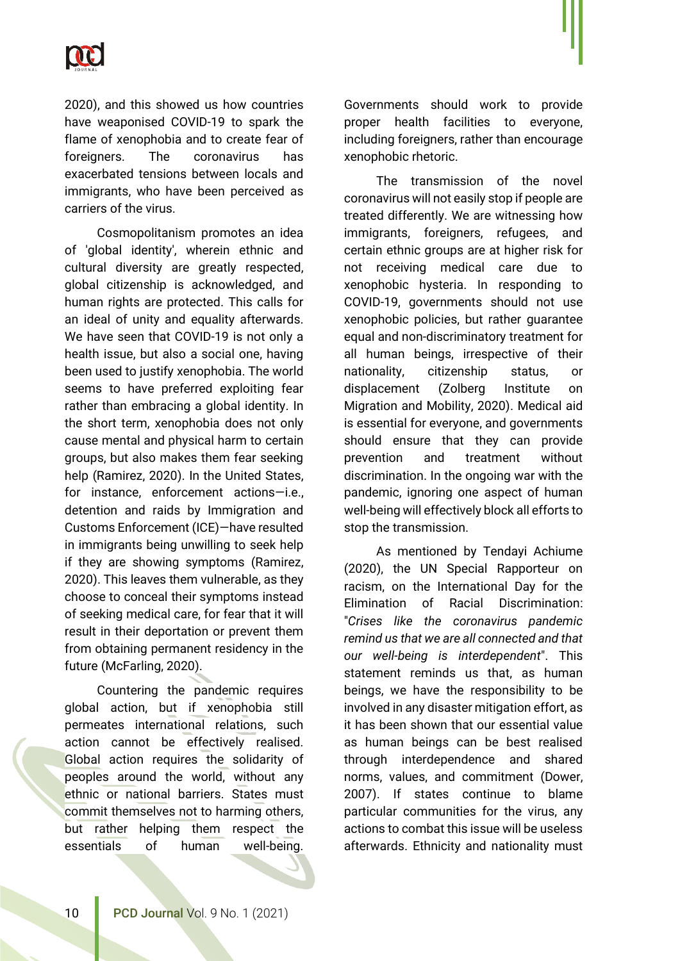

2020), and this showed us how countries have weaponised COVID-19 to spark the flame of xenophobia and to create fear of foreigners. The coronavirus has exacerbated tensions between locals and immigrants, who have been perceived as carriers of the virus.

Cosmopolitanism promotes an idea of 'global identity', wherein ethnic and cultural diversity are greatly respected, global citizenship is acknowledged, and human rights are protected. This calls for an ideal of unity and equality afterwards. We have seen that COVID-19 is not only a health issue, but also a social one, having been used to justify xenophobia. The world seems to have preferred exploiting fear rather than embracing a global identity. In the short term, xenophobia does not only cause mental and physical harm to certain groups, but also makes them fear seeking help (Ramirez, 2020). In the United States, for instance, enforcement actions—i.e., detention and raids by Immigration and Customs Enforcement (ICE)—have resulted in immigrants being unwilling to seek help if they are showing symptoms (Ramirez, 2020). This leaves them vulnerable, as they choose to conceal their symptoms instead of seeking medical care, for fear that it will result in their deportation or prevent them from obtaining permanent residency in the future (McFarling, 2020).

Countering the pandemic requires global action, but if xenophobia still permeates international relations, such action cannot be effectively realised. Global action requires the solidarity of peoples around the world, without any ethnic or national barriers. States must commit themselves not to harming others, but rather helping them respect the essentials of human well-being.

Governments should work to provide proper health facilities to everyone, including foreigners, rather than encourage xenophobic rhetoric.

The transmission of the novel coronavirus will not easily stop if people are treated differently. We are witnessing how immigrants, foreigners, refugees, and certain ethnic groups are at higher risk for not receiving medical care due to xenophobic hysteria. In responding to COVID-19, governments should not use xenophobic policies, but rather guarantee equal and non-discriminatory treatment for all human beings, irrespective of their nationality, citizenship status, or displacement (Zolberg Institute on Migration and Mobility, 2020). Medical aid is essential for everyone, and governments should ensure that they can provide prevention and treatment without discrimination. In the ongoing war with the pandemic, ignoring one aspect of human well-being will effectively block all efforts to stop the transmission.

As mentioned by Tendayi Achiume (2020), the UN Special Rapporteur on racism, on the International Day for the Elimination of Racial Discrimination: "*Crises like the coronavirus pandemic remind us that we are all connected and that our well-being is interdependent*". This statement reminds us that, as human beings, we have the responsibility to be involved in any disaster mitigation effort, as it has been shown that our essential value as human beings can be best realised through interdependence and shared norms, values, and commitment (Dower, 2007). If states continue to blame particular communities for the virus, any actions to combat this issue will be useless afterwards. Ethnicity and nationality must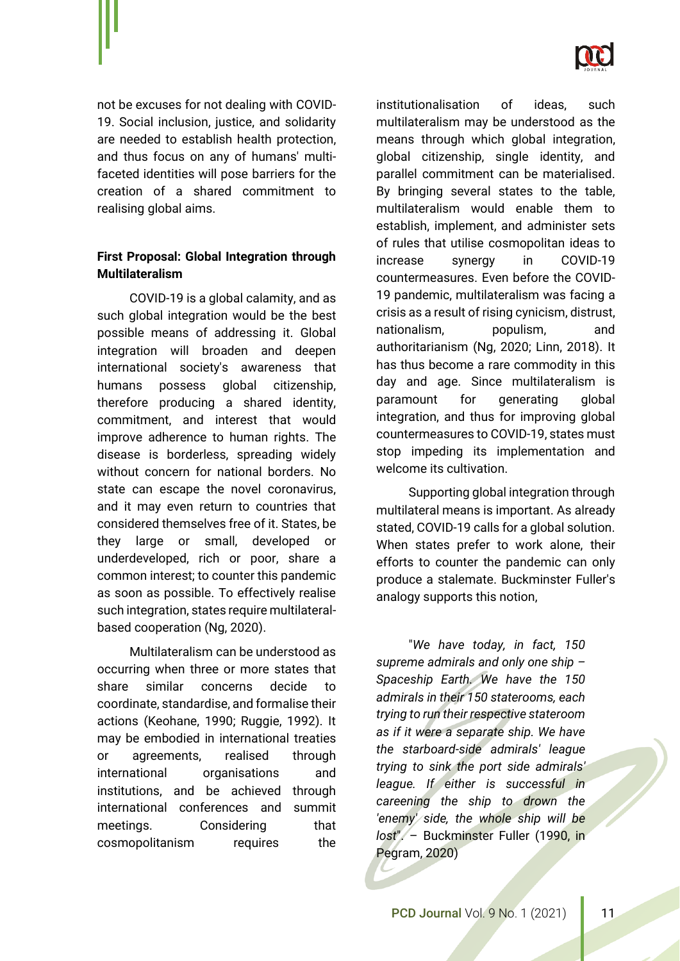

not be excuses for not dealing with COVID-19. Social inclusion, justice, and solidarity are needed to establish health protection, and thus focus on any of humans' multifaceted identities will pose barriers for the creation of a shared commitment to realising global aims.

# **First Proposal: Global Integration through Multilateralism**

COVID-19 is a global calamity, and as such global integration would be the best possible means of addressing it. Global integration will broaden and deepen international society's awareness that humans possess global citizenship, therefore producing a shared identity, commitment, and interest that would improve adherence to human rights. The disease is borderless, spreading widely without concern for national borders. No state can escape the novel coronavirus, and it may even return to countries that considered themselves free of it. States, be they large or small, developed or underdeveloped, rich or poor, share a common interest; to counter this pandemic as soon as possible. To effectively realise such integration, states require multilateralbased cooperation (Ng, 2020).

Multilateralism can be understood as occurring when three or more states that share similar concerns decide to coordinate, standardise, and formalise their actions (Keohane, 1990; Ruggie, 1992). It may be embodied in international treaties or agreements, realised through international organisations and institutions, and be achieved through international conferences and summit meetings. Considering that cosmopolitanism requires the

institutionalisation of ideas, such multilateralism may be understood as the means through which global integration, global citizenship, single identity, and parallel commitment can be materialised. By bringing several states to the table, multilateralism would enable them to establish, implement, and administer sets of rules that utilise cosmopolitan ideas to increase synergy in COVID-19 countermeasures. Even before the COVID-19 pandemic, multilateralism was facing a crisis as a result of rising cynicism, distrust, nationalism, populism, and authoritarianism (Ng, 2020; Linn, 2018). It has thus become a rare commodity in this day and age. Since multilateralism is paramount for generating global integration, and thus for improving global countermeasures to COVID-19, states must stop impeding its implementation and welcome its cultivation.

Supporting global integration through multilateral means is important. As already stated, COVID-19 calls for a global solution. When states prefer to work alone, their efforts to counter the pandemic can only produce a stalemate. Buckminster Fuller's analogy supports this notion,

"*We have today, in fact, 150 supreme admirals and only one ship – Spaceship Earth. We have the 150 admirals in their 150 staterooms, each trying to run their respective stateroom as if it were a separate ship. We have the starboard-side admirals' league trying to sink the port side admirals' league. If either is successful in careening the ship to drown the 'enemy' side, the whole ship will be lost*". – Buckminster Fuller (1990, in Pegram, 2020)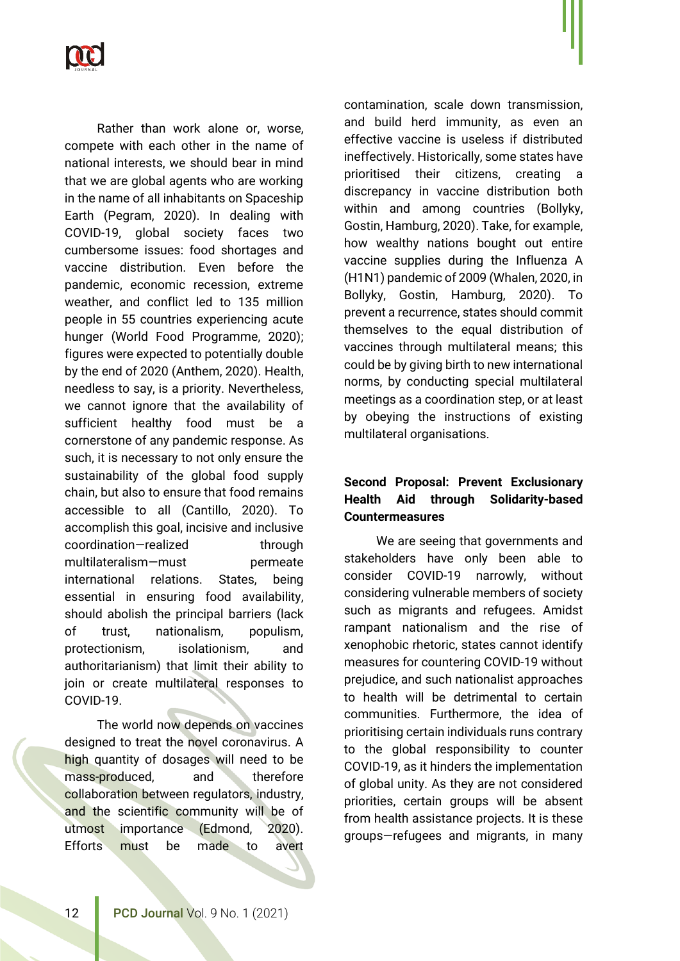

Rather than work alone or, worse, compete with each other in the name of national interests, we should bear in mind that we are global agents who are working in the name of all inhabitants on Spaceship Earth (Pegram, 2020). In dealing with COVID-19, global society faces two cumbersome issues: food shortages and vaccine distribution. Even before the pandemic, economic recession, extreme weather, and conflict led to 135 million people in 55 countries experiencing acute hunger (World Food Programme, 2020); figures were expected to potentially double by the end of 2020 (Anthem, 2020). Health, needless to say, is a priority. Nevertheless, we cannot ignore that the availability of sufficient healthy food must be a cornerstone of any pandemic response. As such, it is necessary to not only ensure the sustainability of the global food supply chain, but also to ensure that food remains accessible to all (Cantillo, 2020). To accomplish this goal, incisive and inclusive coordination—realized through multilateralism—must permeate international relations. States, being essential in ensuring food availability, should abolish the principal barriers (lack of trust, nationalism, populism, protectionism, isolationism, and authoritarianism) that limit their ability to join or create multilateral responses to COVID-19.

The world now depends on vaccines designed to treat the novel coronavirus. A high quantity of dosages will need to be mass-produced, and therefore collaboration between regulators, industry, and the scientific community will be of utmost importance (Edmond, 2020). Efforts must be made to avert

contamination, scale down transmission, and build herd immunity, as even an effective vaccine is useless if distributed ineffectively. Historically, some states have prioritised their citizens, creating a discrepancy in vaccine distribution both within and among countries (Bollyky, Gostin, Hamburg, 2020). Take, for example, how wealthy nations bought out entire vaccine supplies during the Influenza A (H1N1) pandemic of 2009 (Whalen, 2020, in Bollyky, Gostin, Hamburg, 2020). To prevent a recurrence, states should commit themselves to the equal distribution of vaccines through multilateral means; this could be by giving birth to new international norms, by conducting special multilateral meetings as a coordination step, or at least by obeying the instructions of existing multilateral organisations.

# **Second Proposal: Prevent Exclusionary Health Aid through Solidarity-based Countermeasures**

We are seeing that governments and stakeholders have only been able to consider COVID-19 narrowly, without considering vulnerable members of society such as migrants and refugees. Amidst rampant nationalism and the rise of xenophobic rhetoric, states cannot identify measures for countering COVID-19 without prejudice, and such nationalist approaches to health will be detrimental to certain communities. Furthermore, the idea of prioritising certain individuals runs contrary to the global responsibility to counter COVID-19, as it hinders the implementation of global unity. As they are not considered priorities, certain groups will be absent from health assistance projects. It is these groups—refugees and migrants, in many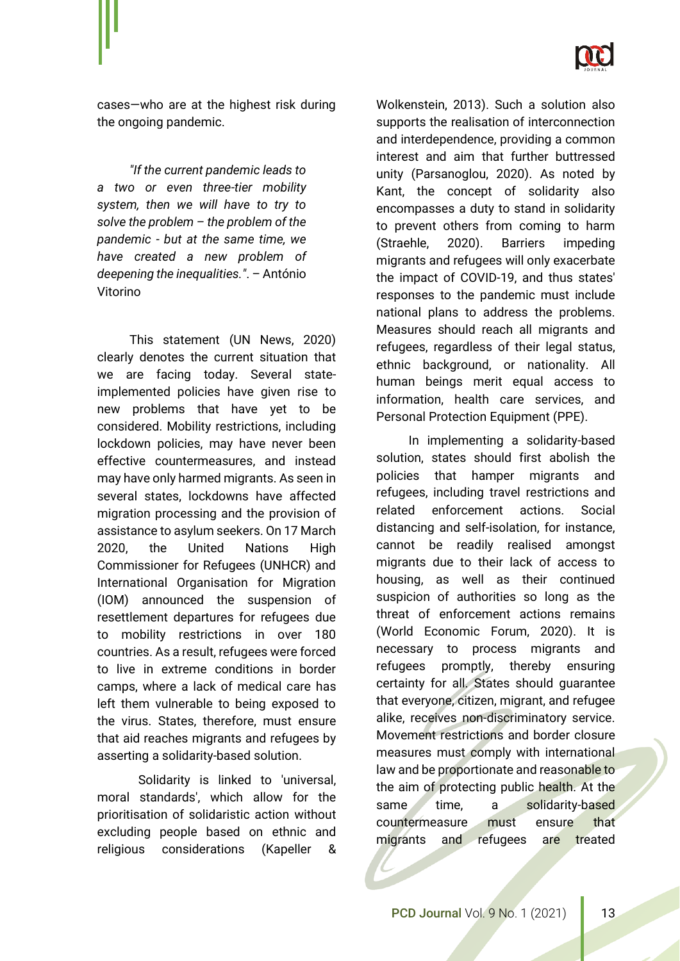

cases—who are at the highest risk during the ongoing pandemic.

*"If the current pandemic leads to a two or even three-tier mobility system, then we will have to try to solve the problem – the problem of the pandemic - but at the same time, we have created a new problem of deepening the inequalities."*. – António Vitorino

This statement (UN News, 2020) clearly denotes the current situation that we are facing today. Several stateimplemented policies have given rise to new problems that have yet to be considered. Mobility restrictions, including lockdown policies, may have never been effective countermeasures, and instead may have only harmed migrants. As seen in several states, lockdowns have affected migration processing and the provision of assistance to asylum seekers. On 17 March 2020, the United Nations High Commissioner for Refugees (UNHCR) and International Organisation for Migration (IOM) announced the suspension of resettlement departures for refugees due to mobility restrictions in over 180 countries. As a result, refugees were forced to live in extreme conditions in border camps, where a lack of medical care has left them vulnerable to being exposed to the virus. States, therefore, must ensure that aid reaches migrants and refugees by asserting a solidarity-based solution.

Solidarity is linked to 'universal, moral standards', which allow for the prioritisation of solidaristic action without excluding people based on ethnic and religious considerations (Kapeller &

Wolkenstein, 2013). Such a solution also supports the realisation of interconnection and interdependence, providing a common interest and aim that further buttressed unity (Parsanoglou, 2020). As noted by Kant, the concept of solidarity also encompasses a duty to stand in solidarity to prevent others from coming to harm (Straehle, 2020). Barriers impeding migrants and refugees will only exacerbate the impact of COVID-19, and thus states' responses to the pandemic must include national plans to address the problems. Measures should reach all migrants and refugees, regardless of their legal status, ethnic background, or nationality. All human beings merit equal access to information, health care services, and Personal Protection Equipment (PPE).

In implementing a solidarity-based solution, states should first abolish the policies that hamper migrants and refugees, including travel restrictions and related enforcement actions. Social distancing and self-isolation, for instance, cannot be readily realised amongst migrants due to their lack of access to housing, as well as their continued suspicion of authorities so long as the threat of enforcement actions remains (World Economic Forum, 2020). It is necessary to process migrants and refugees promptly, thereby ensuring certainty for all. States should guarantee that everyone, citizen, migrant, and refugee alike, receives non-discriminatory service. Movement restrictions and border closure measures must comply with international law and be proportionate and reasonable to the aim of protecting public health. At the same time, a solidarity-based countermeasure must ensure that migrants and refugees are treated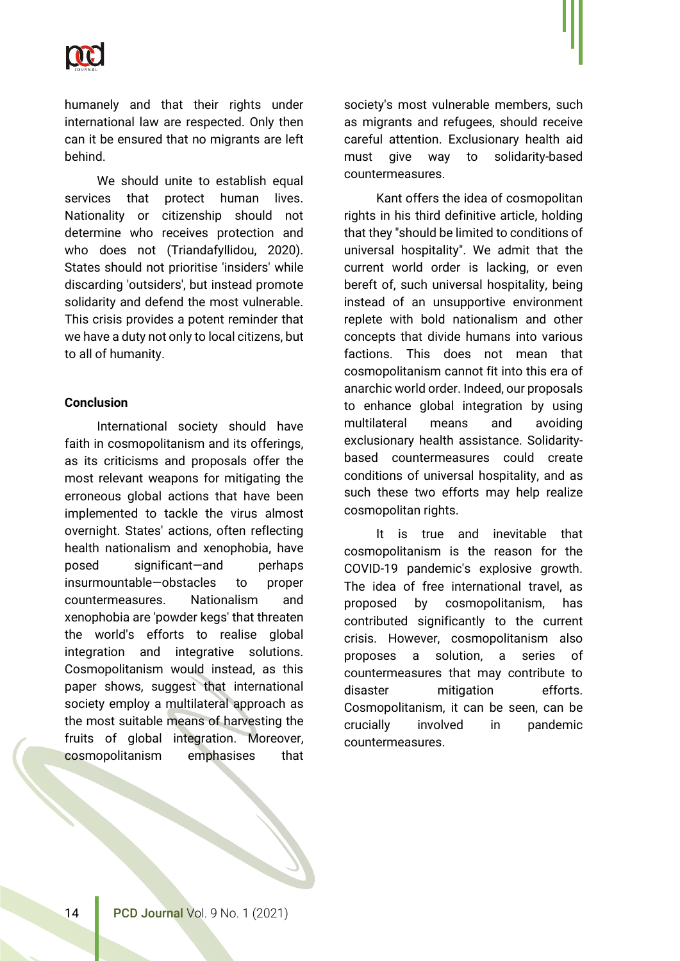

humanely and that their rights under international law are respected. Only then can it be ensured that no migrants are left behind.

We should unite to establish equal services that protect human lives. Nationality or citizenship should not determine who receives protection and who does not (Triandafyllidou, 2020). States should not prioritise 'insiders' while discarding 'outsiders', but instead promote solidarity and defend the most vulnerable. This crisis provides a potent reminder that we have a duty not only to local citizens, but to all of humanity.

#### **Conclusion**

International society should have faith in cosmopolitanism and its offerings, as its criticisms and proposals offer the most relevant weapons for mitigating the erroneous global actions that have been implemented to tackle the virus almost overnight. States' actions, often reflecting health nationalism and xenophobia, have posed significant—and perhaps insurmountable-obstacles to proper countermeasures. Nationalism and xenophobia are 'powder kegs' that threaten the world's efforts to realise global integration and integrative solutions. Cosmopolitanism would instead, as this paper shows, suggest that international society employ a multilateral approach as the most suitable means of harvesting the fruits of global integration. Moreover, cosmopolitanism emphasises that society's most vulnerable members, such as migrants and refugees, should receive careful attention. Exclusionary health aid must give way to solidarity-based countermeasures.

Kant offers the idea of cosmopolitan rights in his third definitive article, holding that they "should be limited to conditions of universal hospitality". We admit that the current world order is lacking, or even bereft of, such universal hospitality, being instead of an unsupportive environment replete with bold nationalism and other concepts that divide humans into various factions. This does not mean that cosmopolitanism cannot fit into this era of anarchic world order. Indeed, our proposals to enhance global integration by using multilateral means and avoiding exclusionary health assistance. Solidaritybased countermeasures could create conditions of universal hospitality, and as such these two efforts may help realize cosmopolitan rights.

It is true and inevitable that cosmopolitanism is the reason for the COVID-19 pandemic's explosive growth. The idea of free international travel, as proposed by cosmopolitanism, has contributed significantly to the current crisis. However, cosmopolitanism also proposes a solution, a series of countermeasures that may contribute to disaster mitigation efforts. Cosmopolitanism, it can be seen, can be crucially involved in pandemic countermeasures.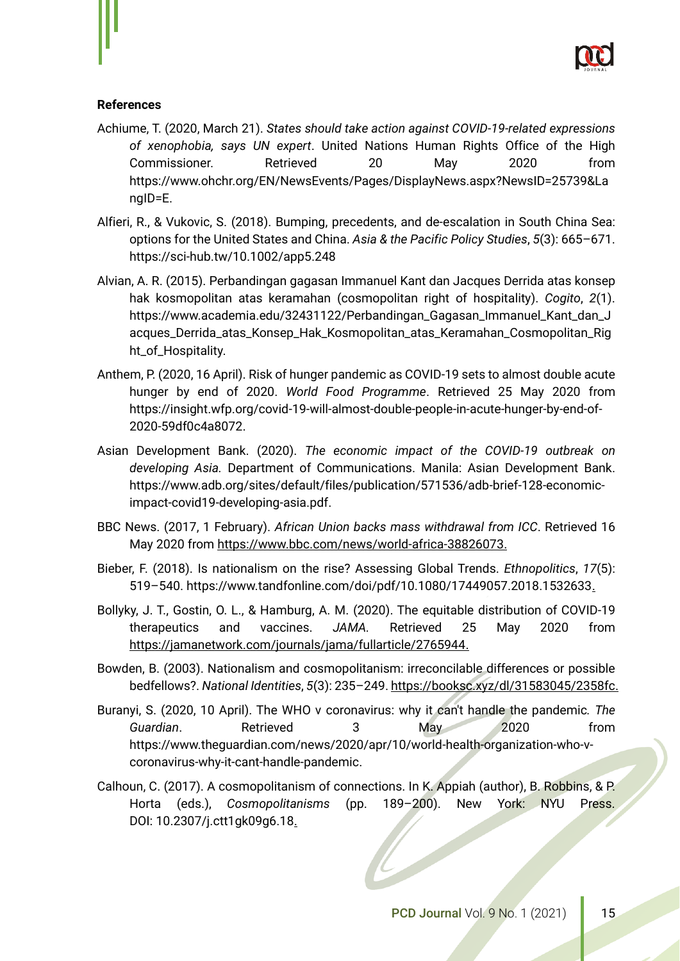

## **References**

- Achiume, T. (2020, March 21). *States should take action against COVID-19-related expressions of xenophobia, says UN expert*. United Nations Human Rights Office of the High Commissioner. Retrieved 20 May 2020 from https://www.ohchr.org/EN/NewsEvents/Pages/DisplayNews.aspx?NewsID=25739&La ngID=E.
- Alfieri, R., & Vukovic, S. (2018). Bumping, precedents, and de‐escalation in South China Sea: options for the United States and China. *Asia & the Pacific Policy Studies*, *5*(3): 665–671. https://sci-hub.tw/10.1002/app5.248
- Alvian, A. R. (2015). Perbandingan gagasan Immanuel Kant dan Jacques Derrida atas konsep hak kosmopolitan atas keramahan (cosmopolitan right of hospitality). *Cogito*, *2*(1). [https://www.academia.edu/32431122/Perbandingan\\_Gagasan\\_Immanuel\\_Kant\\_dan\\_J](https://www.academia.edu/32431122/Perbandingan_Gagasan_Immanuel_Kant_dan_Jacques_Derrida_atas_Konsep_Hak_Kosmopolitan_atas_Keramahan_Cosmopolitan_Right_of_Hospitality_) [acques\\_Derrida\\_atas\\_Konsep\\_Hak\\_Kosmopolitan\\_atas\\_Keramahan\\_Cosmopolitan\\_Rig](https://www.academia.edu/32431122/Perbandingan_Gagasan_Immanuel_Kant_dan_Jacques_Derrida_atas_Konsep_Hak_Kosmopolitan_atas_Keramahan_Cosmopolitan_Right_of_Hospitality_) [ht\\_of\\_Hospitality.](https://www.academia.edu/32431122/Perbandingan_Gagasan_Immanuel_Kant_dan_Jacques_Derrida_atas_Konsep_Hak_Kosmopolitan_atas_Keramahan_Cosmopolitan_Right_of_Hospitality_)
- Anthem, P. (2020, 16 April). Risk of hunger pandemic as COVID-19 sets to almost double acute hunger by end of 2020. *World Food Programme*. Retrieved 25 May 2020 from [https://insight.wfp.org/covid-19-will-almost-double-people-in-acute-hunger-by-end-of-](https://insight.wfp.org/covid-19-will-almost-double-people-in-acute-hunger-by-end-of-2020-59df0c4a8072)[2020-59df0c4a8072.](https://insight.wfp.org/covid-19-will-almost-double-people-in-acute-hunger-by-end-of-2020-59df0c4a8072)
- Asian Development Bank. (2020). *The economic impact of the COVID-19 outbreak on developing Asia.* Department of Communications. Manila: Asian Development Bank. [https://www.adb.org/sites/default/files/publication/571536/adb-brief-128-economic](https://www.adb.org/sites/default/files/publication/571536/adb-brief-128-economic-impact-covid19-developing-asia.pdf)[impact-covid19-developing-asia.pdf.](https://www.adb.org/sites/default/files/publication/571536/adb-brief-128-economic-impact-covid19-developing-asia.pdf)
- BBC News. (2017, 1 February). *African Union backs mass withdrawal from ICC*. Retrieved 16 May 2020 from [https://www.bbc.com/news/world-africa-38826073.](https://www.bbc.com/news/world-africa-38826073)
- Bieber, F. (2018). Is nationalism on the rise? Assessing Global Trends. *Ethnopolitics*, *17*(5): 519–540. https://www.tandfonline.com/doi/pdf/10.1080/17449057.2018.1532633.
- Bollyky, J. T., Gostin, O. L., & Hamburg, A. M. (2020). The equitable distribution of COVID-19 therapeutics and vaccines. *JAMA.* Retrieved 25 May 2020 from [https://jamanetwork.com/journals/jama/fullarticle/2765944.](https://jamanetwork.com/journals/jama/fullarticle/2765944)
- Bowden, B. (2003). Nationalism and cosmopolitanism: irreconcilable differences or possible bedfellows?. *National Identities*, *5*(3): 235–249. https://booksc.xyz/dl/31583045/2358fc.
- Buranyi, S. (2020, 10 April). The WHO v coronavirus: why it can't handle the pandemic*. The Guardian*. Retrieved 3 May 2020 from [https://www.theguardian.com/news/2020/apr/10/world-health-organization-who-v](https://www.theguardian.com/news/2020/apr/10/world-health-organization-who-v-coronavirus-why-it-cant-handle-pandemic)[coronavirus-why-it-cant-handle-pandemic.](https://www.theguardian.com/news/2020/apr/10/world-health-organization-who-v-coronavirus-why-it-cant-handle-pandemic)
- Calhoun, C. (2017). A cosmopolitanism of connections. In K. Appiah (author), B. Robbins, & P. Horta (eds.), *Cosmopolitanisms* (pp. 189–200). New York: NYU Press. DOI: 10.2307/j.ctt1gk09g6.18.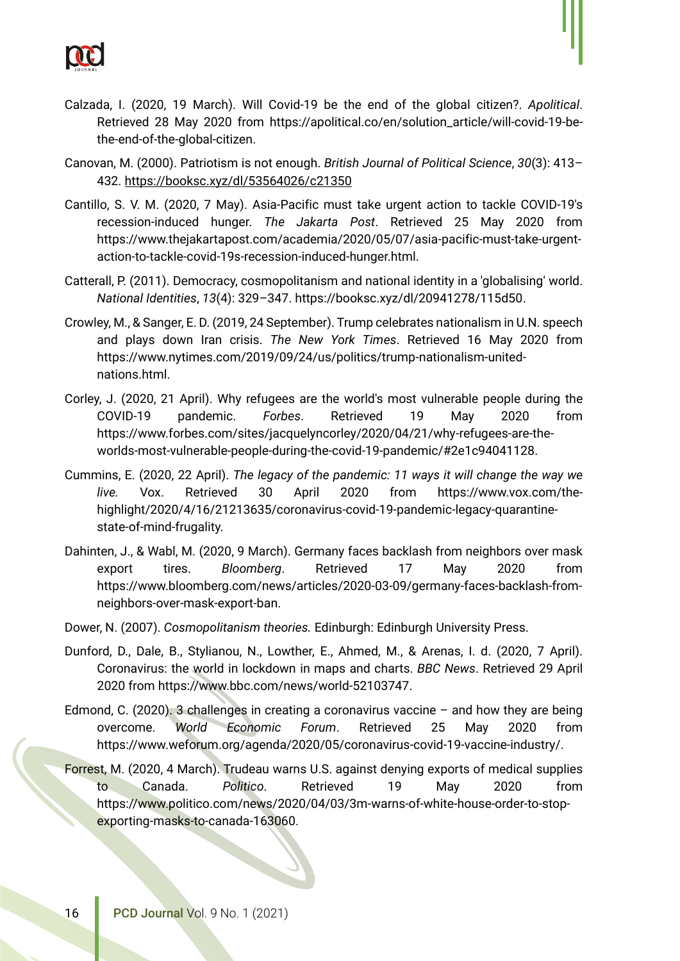

- Calzada, I. (2020, 19 March). Will Covid-19 be the end of the global citizen?. *Apolitical*. Retrieved 28 May 2020 from https://apolitical.co/en/solution\_article/will-covid-19-bethe-end-of-the-global-citizen.
- Canovan, M. (2000). Patriotism is not enough. *British Journal of Political Science*, *30*(3): 413– 432. https://booksc.xyz/dl/53564026/c21350
- Cantillo, S. V. M. (2020, 7 May). Asia-Pacific must take urgent action to tackle COVID-19's recession-induced hunger. *The Jakarta Post*. Retrieved 25 May 2020 from https://www.thejakartapost.com/academia/2020/05/07/asia-pacific-must-take-urgentaction-to-tackle-covid-19s-recession-induced-hunger.html.
- Catterall, P. (2011). Democracy, cosmopolitanism and national identity in a 'globalising' world. *National Identities*, *13*(4): 329–347. https://booksc.xyz/dl/20941278/115d50.
- Crowley, M., & Sanger, E. D. (2019, 24 September). Trump celebrates nationalism in U.N. speech and plays down Iran crisis. *The New York Times*. Retrieved 16 May 2020 from https://www.nytimes.com/2019/09/24/us/politics/trump-nationalism-unitednations.html.
- Corley, J. (2020, 21 April). Why refugees are the world's most vulnerable people during the COVID-19 pandemic. *Forbes*. Retrieved 19 May 2020 from https://www.forbes.com/sites/jacquelyncorley/2020/04/21/why-refugees-are-theworlds-most-vulnerable-people-during-the-covid-19-pandemic/#2e1c94041128.
- Cummins, E. (2020, 22 April). *The legacy of the pandemic: 11 ways it will change the way we live.* Vox. Retrieved 30 April 2020 from https://www.vox.com/thehighlight/2020/4/16/21213635/coronavirus-covid-19-pandemic-legacy-quarantinestate-of-mind-frugality.
- Dahinten, J., & Wabl, M. (2020, 9 March). Germany faces backlash from neighbors over mask export tires. *Bloomberg*. Retrieved 17 May 2020 from https://www.bloomberg.com/news/articles/2020-03-09/germany-faces-backlash-fromneighbors-over-mask-export-ban.
- Dower, N. (2007). *Cosmopolitanism theories.* Edinburgh: Edinburgh University Press.
- Dunford, D., Dale, B., Stylianou, N., Lowther, E., Ahmed, M., & Arenas, I. d. (2020, 7 April). Coronavirus: the world in lockdown in maps and charts. *BBC News*. Retrieved 29 April 2020 from https://www.bbc.com/news/world-52103747.
- Edmond, C. (2020). 3 challenges in creating a coronavirus vaccine and how they are being overcome. *World Economic Forum*. Retrieved 25 May 2020 from https://www.weforum.org/agenda/2020/05/coronavirus-covid-19-vaccine-industry/.
- Forrest, M. (2020, 4 March). Trudeau warns U.S. against denying exports of medical supplies to Canada. *Politico*. Retrieved 19 May 2020 from https://www.politico.com/news/2020/04/03/3m-warns-of-white-house-order-to-stopexporting-masks-to-canada-163060.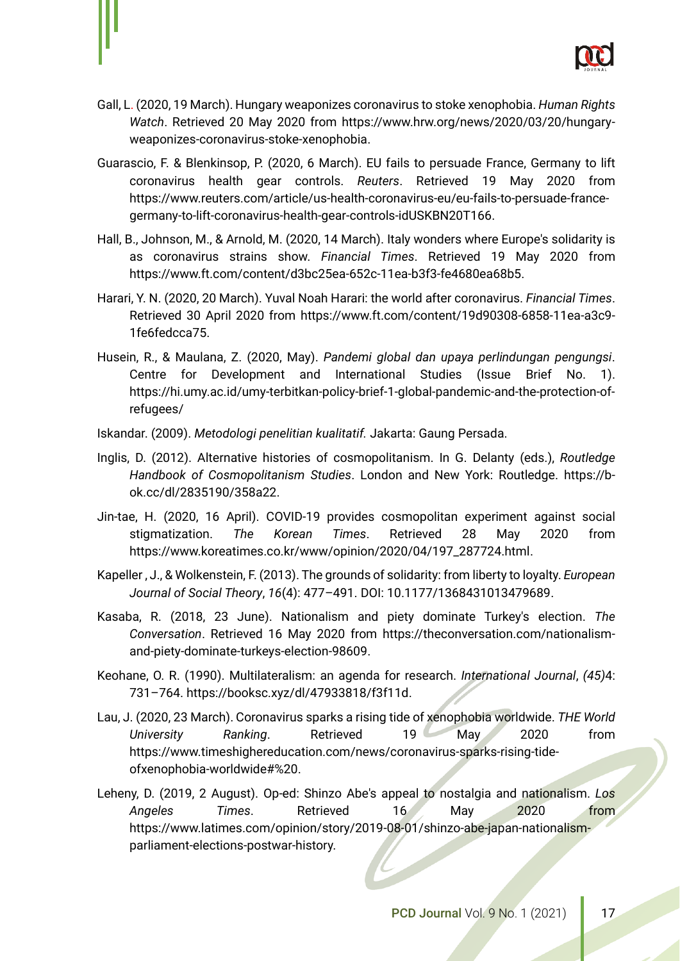

- Gall, L. (2020, 19 March). Hungary weaponizes coronavirus to stoke xenophobia. *Human Rights Watch*. Retrieved 20 May 2020 from https://www.hrw.org/news/2020/03/20/hungaryweaponizes-coronavirus-stoke-xenophobia.
- Guarascio, F. & Blenkinsop, P. (2020, 6 March). EU fails to persuade France, Germany to lift coronavirus health gear controls. *Reuters*. Retrieved 19 May 2020 from https://www.reuters.com/article/us-health-coronavirus-eu/eu-fails-to-persuade-francegermany-to-lift-coronavirus-health-gear-controls-idUSKBN20T166.
- Hall, B., Johnson, M., & Arnold, M. (2020, 14 March). Italy wonders where Europe's solidarity is as coronavirus strains show. *Financial Times*. Retrieved 19 May 2020 from https://www.ft.com/content/d3bc25ea-652c-11ea-b3f3-fe4680ea68b5.
- Harari, Y. N. (2020, 20 March). Yuval Noah Harari: the world after coronavirus. *Financial Times*. Retrieved 30 April 2020 from https://www.ft.com/content/19d90308-6858-11ea-a3c9- 1fe6fedcca75.
- Husein, R., & Maulana, Z. (2020, May). *Pandemi global dan upaya perlindungan pengungsi*. Centre for Development and International Studies (Issue Brief No. 1). https://hi.umy.ac.id/umy-terbitkan-policy-brief-1-global-pandemic-and-the-protection-ofrefugees/
- Iskandar. (2009). *Metodologi penelitian kualitatif.* Jakarta: Gaung Persada.
- Inglis, D. (2012). Alternative histories of cosmopolitanism. In G. Delanty (eds.), *Routledge Handbook of Cosmopolitanism Studies*. London and New York: Routledge. https://bok.cc/dl/2835190/358a22.
- Jin-tae, H. (2020, 16 April). COVID-19 provides cosmopolitan experiment against social stigmatization. *The Korean Times*. Retrieved 28 May 2020 from https://www.koreatimes.co.kr/www/opinion/2020/04/197\_287724.html.
- Kapeller , J., & Wolkenstein, F. (2013). The grounds of solidarity: from liberty to loyalty. *European Journal of Social Theory*, *16*(4): 477–491. DOI: 10.1177/1368431013479689.
- Kasaba, R. (2018, 23 June). Nationalism and piety dominate Turkey's election. *The Conversation*. Retrieved 16 May 2020 from https://theconversation.com/nationalismand-piety-dominate-turkeys-election-98609.
- Keohane, O. R. (1990). Multilateralism: an agenda for research. *International Journal*, *(45)*4: 731–764. https://booksc.xyz/dl/47933818/f3f11d.
- Lau, J. (2020, 23 March). Coronavirus sparks a rising tide of xenophobia worldwide. *THE World University Ranking*. Retrieved 19 May 2020 from https://www.timeshighereducation.com/news/coronavirus-sparks-rising-tideofxenophobia-worldwide#%20.
- Leheny, D. (2019, 2 August). Op-ed: Shinzo Abe's appeal to nostalgia and nationalism. *Los Angeles Times*. Retrieved 16 May 2020 from [https://www.latimes.com/opinion/story/2019-08-01/shinzo-abe-japan-nationalism](https://www.latimes.com/opinion/story/2019-08-01/shinzo-abe-japan-nationalism-parliament-elections-postwar-history)[parliament-elections-postwar-history.](https://www.latimes.com/opinion/story/2019-08-01/shinzo-abe-japan-nationalism-parliament-elections-postwar-history)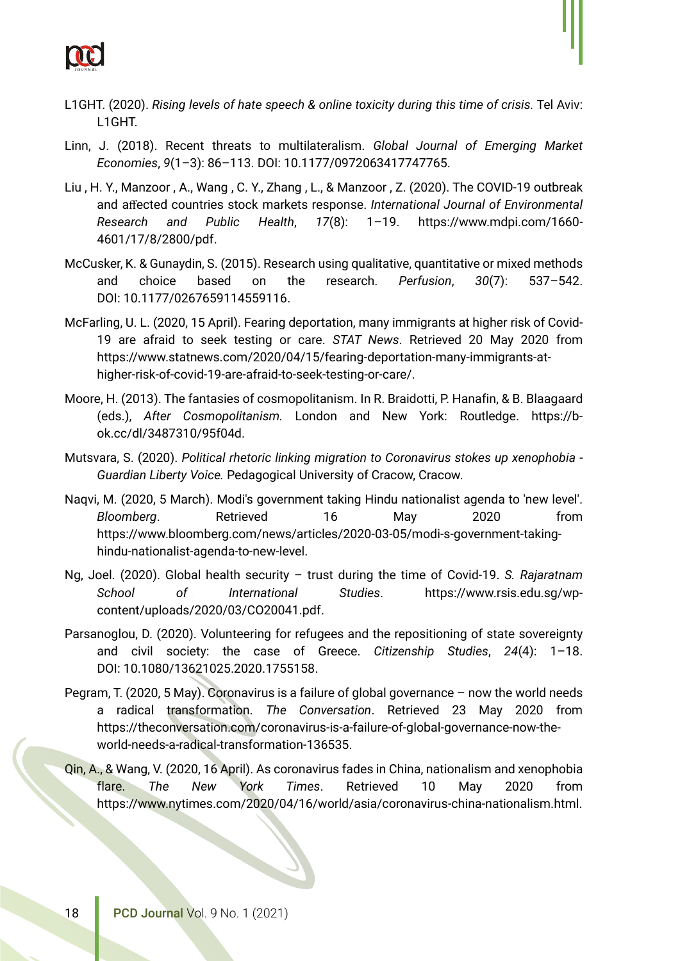

- Linn, J. (2018). Recent threats to multilateralism. *Global Journal of Emerging Market Economies*, *9*(1–3): 86–113. DOI: 10.1177/0972063417747765.
- Liu , H. Y., Manzoor , A., Wang , C. Y., Zhang , L., & Manzoor , Z. (2020). The COVID-19 outbreak and affected countries stock markets response. *International Journal of Environmental Research and Public Health*, *17*(8): 1–19. https://www.mdpi.com/1660- 4601/17/8/2800/pdf.
- McCusker, K. & Gunaydin, S. (2015). Research using qualitative, quantitative or mixed methods and choice based on the research. *Perfusion*, *30*(7): 537–542. DOI: 10.1177/0267659114559116.
- McFarling, U. L. (2020, 15 April). Fearing deportation, many immigrants at higher risk of Covid-19 are afraid to seek testing or care. *STAT News*. Retrieved 20 May 2020 from https://www.statnews.com/2020/04/15/fearing-deportation-many-immigrants-athigher-risk-of-covid-19-are-afraid-to-seek-testing-or-care/.
- Moore, H. (2013). The fantasies of cosmopolitanism. In R. Braidotti, P. Hanafin, & B. Blaagaard (eds.), *After Cosmopolitanism.* London and New York: Routledge. https://bok.cc/dl/3487310/95f04d.
- Mutsvara, S. (2020). *Political rhetoric linking migration to Coronavirus stokes up xenophobia - Guardian Liberty Voice.* Pedagogical University of Cracow, Cracow.
- Naqvi, M. (2020, 5 March). Modi's government taking Hindu nationalist agenda to 'new level'. *Bloomberg*. Retrieved 16 May 2020 from [https://www.bloomberg.com/news/articles/2020-03-05/modi-s-government-taking](https://www.bloomberg.com/news/articles/2020-03-05/modi-s-government-taking-hindu-nationalist-agenda-to-new-level)[hindu-nationalist-agenda-to-new-level.](https://www.bloomberg.com/news/articles/2020-03-05/modi-s-government-taking-hindu-nationalist-agenda-to-new-level)
- Ng, Joel. (2020). Global health security trust during the time of Covid-19. *S. Rajaratnam School of International Studies*. https://www.rsis.edu.sg/wpcontent/uploads/2020/03/CO20041.pdf.
- Parsanoglou, D. (2020). Volunteering for refugees and the repositioning of state sovereignty and civil society: the case of Greece. *Citizenship Studies*, *24*(4): 1–18. DOI: [10.1080/13621025.2020.1755158.](https://www.researchgate.net/deref/http%3A%2F%2Fdx.doi.org%2F10.1080%2F13621025.2020.1755158?_sg%5B0%5D=gxBkTEZ94NKcLAMDGt3HmqA-SyT4s7n23fNHaDzNPAlTUl0we4v3CCBNIGwSxslPFhVUCwSPfYZoQOcl50oFGAonwQ.71gQDJkMje5CadTk21aagsOGctAMHE5aZ_SBxyXuv-cZActvfxC5N23ubOX2n832zVhwXr-wubVYh8_iSQYqQQ)
- Pegram, T. (2020, 5 May). Coronavirus is a failure of global governance now the world needs a radical transformation. *The Conversation*. Retrieved 23 May 2020 from [https://theconversation.com/coronavirus-is-a-failure-of-global-governance-now-the](https://theconversation.com/coronavirus-is-a-failure-of-global-governance-now-the-world-needs-a-radical-transformation-136535)[world-needs-a-radical-transformation-136535.](https://theconversation.com/coronavirus-is-a-failure-of-global-governance-now-the-world-needs-a-radical-transformation-136535)
- Qin, A., & Wang, V. (2020, 16 April). As coronavirus fades in China, nationalism and xenophobia flare. *The New York Times*. Retrieved 10 May 2020 from https://www.nytimes.com/2020/04/16/world/asia/coronavirus-china-nationalism.html.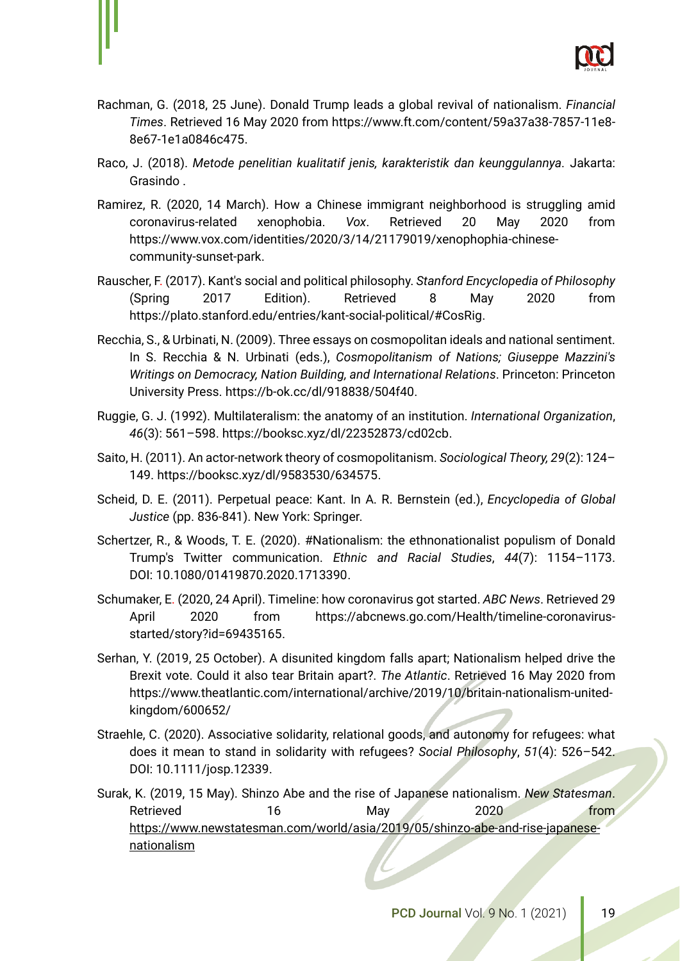

- Rachman, G. (2018, 25 June). Donald Trump leads a global revival of nationalism. *Financial Times*. Retrieved 16 May 2020 from [https://www.ft.com/content/59a37a38-7857-11e8-](https://www.ft.com/content/59a37a38-7857-11e8-8e67-1e1a0846c475) [8e67-1e1a0846c475.](https://www.ft.com/content/59a37a38-7857-11e8-8e67-1e1a0846c475)
- Raco, J. (2018). *Metode penelitian kualitatif jenis, karakteristik dan keunggulannya.* Jakarta: Grasindo .
- Ramirez, R. (2020, 14 March). How a Chinese immigrant neighborhood is struggling amid coronavirus-related xenophobia. *Vox*. Retrieved 20 May 2020 from https://www.vox.com/identities/2020/3/14/21179019/xenophophia-chinesecommunity-sunset-park.
- Rauscher, F. (2017). Kant's social and political philosophy. *Stanford Encyclopedia of Philosophy* (Spring 2017 Edition). Retrieved 8 May 2020 from https://plato.stanford.edu/entries/kant-social-political/#CosRig.
- Recchia, S., & Urbinati, N. (2009). Three essays on cosmopolitan ideals and national sentiment. In S. Recchia & N. Urbinati (eds.), *Cosmopolitanism of Nations; Giuseppe Mazzini's Writings on Democracy, Nation Building, and International Relations*. Princeton: Princeton University Press. https://b-ok.cc/dl/918838/504f40.
- Ruggie, G. J. (1992). Multilateralism: the anatomy of an institution. *International Organization*, *46*(3): 561–598. https://booksc.xyz/dl/22352873/cd02cb.
- Saito, H. (2011). An actor-network theory of cosmopolitanism. *Sociological Theory, 29*(2): 124– 149. https://booksc.xyz/dl/9583530/634575.
- Scheid, D. E. (2011). Perpetual peace: Kant. In A. R. Bernstein (ed.), *Encyclopedia of Global Justice* (pp. 836-841). New York: Springer.
- Schertzer, R., & Woods, T. E. (2020). #Nationalism: the ethnonationalist populism of Donald Trump's Twitter communication. *Ethnic and Racial Studies*, *44*(7): 1154–1173. DOI: 10.1080/01419870.2020.1713390.
- Schumaker, E. (2020, 24 April). Timeline: how coronavirus got started. *ABC News*. Retrieved 29 April 2020 from https://abcnews.go.com/Health/timeline-coronavirusstarted/story?id=69435165.
- Serhan, Y. (2019, 25 October). A disunited kingdom falls apart; Nationalism helped drive the Brexit vote. Could it also tear Britain apart?. *The Atlantic*. Retrieved 16 May 2020 from https://www.theatlantic.com/international/archive/2019/10/britain-nationalism-unitedkingdom/600652/
- Straehle, C. (2020). Associative solidarity, relational goods, and autonomy for refugees: what does it mean to stand in solidarity with refugees? *Social Philosophy*, *51*(4): 526–542. DOI: 10.1111/josp.12339.

Surak, K. (2019, 15 May). Shinzo Abe and the rise of Japanese nationalism. *New Statesman*. Retrieved 16 May 2020 from [https://www.newstatesman.com/world/asia/2019/05/shinzo-abe-and-rise-japanese](https://www.newstatesman.com/world/asia/2019/05/shinzo-abe-and-rise-japanese-nationalism)[nationalism](https://www.newstatesman.com/world/asia/2019/05/shinzo-abe-and-rise-japanese-nationalism)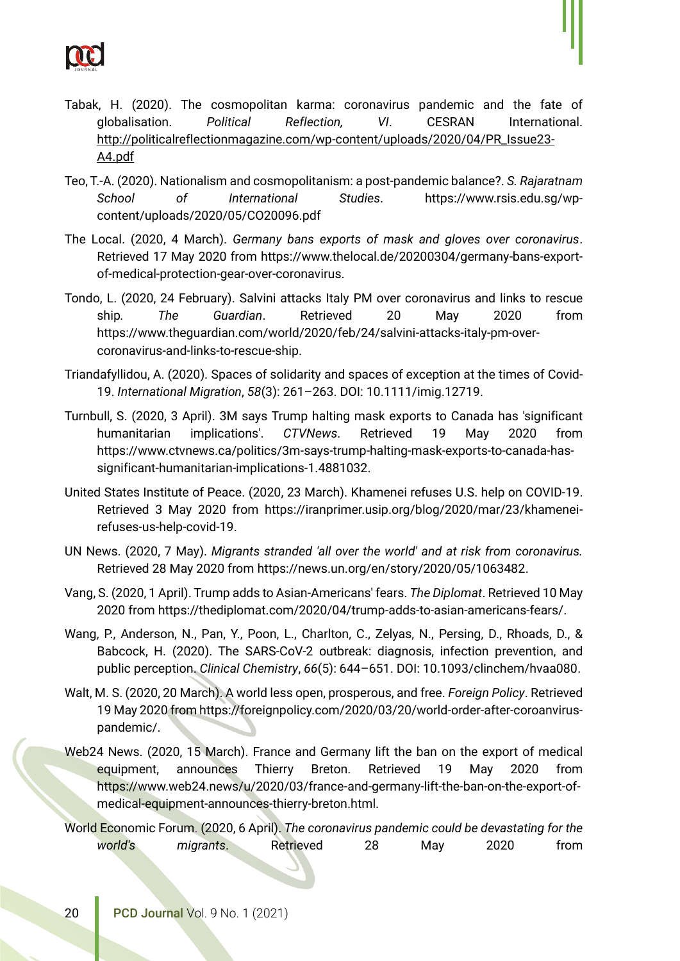

- Tabak, H. (2020). The cosmopolitan karma: coronavirus pandemic and the fate of globalisation. *Political Reflection, VI*. CESRAN International. http://politicalreflectionmagazine.com/wp-content/uploads/2020/04/PR\_Issue23- A4.pdf
- Teo, T.-A. (2020). Nationalism and cosmopolitanism: a post-pandemic balance?. *S. Rajaratnam School of International Studies*. https://www.rsis.edu.sg/wpcontent/uploads/2020/05/CO20096.pdf
- The Local. (2020, 4 March). *Germany bans exports of mask and gloves over coronavirus*. Retrieved 17 May 2020 from [https://www.thelocal.de/20200304/germany-bans-export](https://www.thelocal.de/20200304/germany-bans-export-of-medical-protection-gear-over-coronavirus)[of-medical-protection-gear-over-coronavirus.](https://www.thelocal.de/20200304/germany-bans-export-of-medical-protection-gear-over-coronavirus)
- Tondo, L. (2020, 24 February). Salvini attacks Italy PM over coronavirus and links to rescue ship*. The Guardian*. Retrieved 20 May 2020 from https://www.theguardian.com/world/2020/feb/24/salvini-attacks-italy-pm-overcoronavirus-and-links-to-rescue-ship.
- Triandafyllidou, A. (2020). Spaces of solidarity and spaces of exception at the times of Covid-19. *International Migration*, *58*(3): 261–263. DOI: 10.1111/imig.12719.
- Turnbull, S. (2020, 3 April). 3M says Trump halting mask exports to Canada has 'significant humanitarian implications'. *CTVNews*. Retrieved 19 May 2020 from [https://www.ctvnews.ca/politics/3m-says-trump-halting-mask-exports-to-canada-has](https://www.ctvnews.ca/politics/3m-says-trump-halting-mask-exports-to-canada-has-significant-humanitarian-implications-1.4881032)[significant-humanitarian-implications-1.4881032.](https://www.ctvnews.ca/politics/3m-says-trump-halting-mask-exports-to-canada-has-significant-humanitarian-implications-1.4881032)
- United States Institute of Peace. (2020, 23 March). Khamenei refuses U.S. help on COVID-19. Retrieved 3 May 2020 from [https://iranprimer.usip.org/blog/2020/mar/23/khamenei](https://iranprimer.usip.org/blog/2020/mar/23/khamenei-refuses-us-help-covid-19)[refuses-us-help-covid-19.](https://iranprimer.usip.org/blog/2020/mar/23/khamenei-refuses-us-help-covid-19)
- UN News. (2020, 7 May). *Migrants stranded 'all over the world' and at risk from coronavirus.* Retrieved 28 May 2020 from https://news.un.org/en/story/2020/05/1063482.
- Vang, S. (2020, 1 April). Trump adds to Asian-Americans' fears. *The Diplomat*. Retrieved 10 May 2020 from https://thediplomat.com/2020/04/trump-adds-to-asian-americans-fears/.
- Wang, P., Anderson, N., Pan, Y., Poon, L., Charlton, C., Zelyas, N., Persing, D., Rhoads, D., & Babcock, H. (2020). The SARS-CoV-2 outbreak: diagnosis, infection prevention, and public perception. *Clinical Chemistry*, *66*(5): 644–651. DOI: [10.1093/clinchem/hvaa080.](https://doi.org/10.1093/clinchem/hvaa080)
- Walt, M. S. (2020, 20 March). A world less open, prosperous, and free. *Foreign Policy*. Retrieved 19 May 2020 from [https://foreignpolicy.com/2020/03/20/world-order-after-coroanvirus](https://foreignpolicy.com/2020/03/20/world-order-after-coroanvirus-pandemic/)[pandemic/.](https://foreignpolicy.com/2020/03/20/world-order-after-coroanvirus-pandemic/)
- Web24 News. (2020, 15 March). France and Germany lift the ban on the export of medical equipment, announces Thierry Breton. Retrieved 19 May 2020 from [https://www.web24.news/u/2020/03/france-and-germany-lift-the-ban-on-the-export-of](https://www.web24.news/u/2020/03/france-and-germany-lift-the-ban-on-the-export-of-medical-equipment-announces-thierry-breton.html)[medical-equipment-announces-thierry-breton.html.](https://www.web24.news/u/2020/03/france-and-germany-lift-the-ban-on-the-export-of-medical-equipment-announces-thierry-breton.html)
- World Economic Forum. (2020, 6 April). *The coronavirus pandemic could be devastating for the world's migrants*. Retrieved 28 May 2020 from